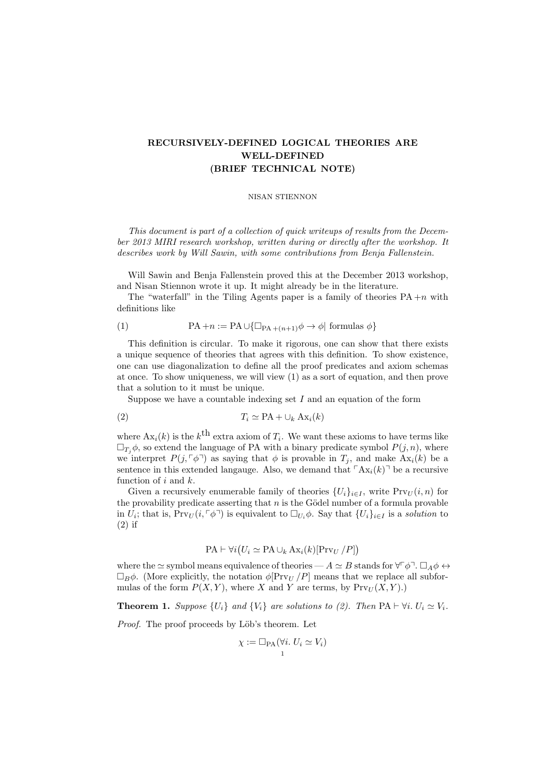## RECURSIVELY-DEFINED LOGICAL THEORIES ARE WELL-DEFINED (BRIEF TECHNICAL NOTE)

## NISAN STIENNON

This document is part of a collection of quick writeups of results from the December 2013 MIRI research workshop, written during or directly after the workshop. It describes work by Will Sawin, with some contributions from Benja Fallenstein.

Will Sawin and Benja Fallenstein proved this at the December 2013 workshop, and Nisan Stiennon wrote it up. It might already be in the literature.

The "waterfall" in the Tiling Agents paper is a family of theories  $PA + n$  with definitions like

(1) 
$$
PA + n := PA \cup \{ \Box_{PA + (n+1)} \phi \to \phi \mid \text{formulas } \phi \}
$$

This definition is circular. To make it rigorous, one can show that there exists a unique sequence of theories that agrees with this definition. To show existence, one can use diagonalization to define all the proof predicates and axiom schemas at once. To show uniqueness, we will view (1) as a sort of equation, and then prove that a solution to it must be unique.

Suppose we have a countable indexing set  $I$  and an equation of the form

$$
(2) \t\t T_i \simeq \text{PA} + \cup_k \text{Ax}_i(k)
$$

where  $Ax_i(k)$  is the  $k^{\text{th}}$  extra axiom of  $T_i$ . We want these axioms to have terms like  $\Box_{T_i}\phi$ , so extend the language of PA with a binary predicate symbol  $P(j, n)$ , where we interpret  $P(j, \lceil \phi \rceil)$  as saying that  $\phi$  is provable in  $T_j$ , and make Ax<sub>i</sub>(k) be a sentence in this extended language. Also, we demand that  $\lceil Ax_i(k)\rceil$  be a recursive function of  $i$  and  $k$ .

Given a recursively enumerable family of theories  ${U_i}_{i\in I}$ , write  $Pr_{U}(i, n)$  for the provability predicate asserting that  $n$  is the Gödel number of a formula provable in  $\overline{U}_i$ ; that is,  $\Pr{V}_U(i, \lceil \phi \rceil)$  is equivalent to  $\Box_{U_i} \phi$ . Say that  $\{U_i\}_{i \in I}$  is a solution to (2) if

$$
PA \vdash \forall i (U_i \simeq PA \cup_k Ax_i(k)[\text{Prv}_U/P])
$$

where the  $\simeq$  symbol means equivalence of theories —  $A \simeq B$  stands for  $\forall \phi \neg \Box_A \phi \leftrightarrow \Box$  $\Box_B \phi$ . (More explicitly, the notation  $\phi[\text{Prv}_U/P]$  means that we replace all subformulas of the form  $P(X, Y)$ , where X and Y are terms, by  $Pr_{U}(X, Y)$ .

**Theorem 1.** Suppose  $\{U_i\}$  and  $\{V_i\}$  are solutions to (2). Then PA  $\vdash \forall i$ .  $U_i \simeq V_i$ .

Proof. The proof proceeds by Löb's theorem. Let

$$
\chi := \Box_{\text{PA}}(\forall i. \ U_i \simeq V_i)
$$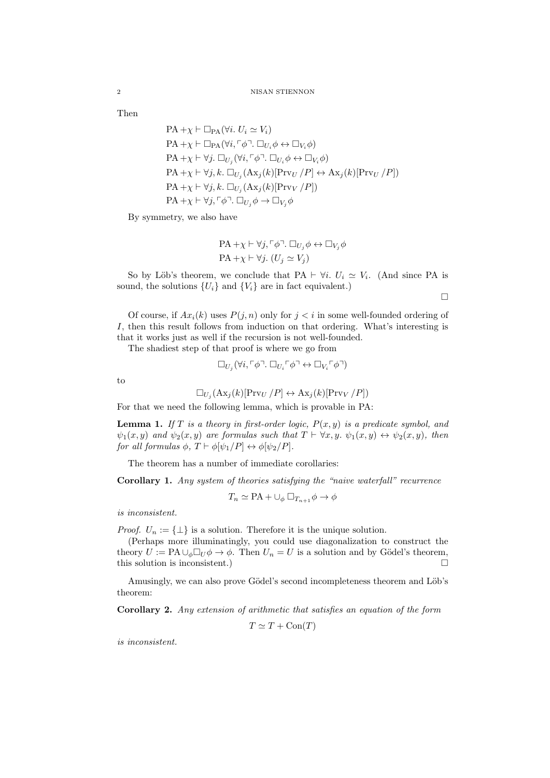Then

$$
\label{eq:PA} \begin{aligned} &\text{PA} + \chi \vdash \Box_{\text{PA}} (\forall i.\ U_i \simeq V_i)\\ &\text{PA} + \chi \vdash \Box_{\text{PA}} (\forall i, \ulcorner \phi \urcorner . \Box_{U_i} \phi \leftrightarrow \Box_{V_i} \phi)\\ &\text{PA} + \chi \vdash \forall j.\ \Box_{U_j} (\forall i, \ulcorner \phi \urcorner . \ \Box_{U_i} \phi \leftrightarrow \Box_{V_i} \phi)\\ &\text{PA} + \chi \vdash \forall j, k.\ \Box_{U_j} (\text{Ax}_j(k)[\text{Prv}_U \mathbin{/} P] \leftrightarrow \text{Ax}_j(k)[\text{Prv}_U \mathbin{/} P])\\ &\text{PA} + \chi \vdash \forall j, k.\ \Box_{U_j} (\text{Ax}_j(k)[\text{Prv}_V \mathbin{/} P])\\ &\text{PA} + \chi \vdash \forall j, \ulcorner \phi \urcorner . \ \Box_{U_j} \phi \to \Box_{V_j} \phi \end{aligned}
$$

By symmetry, we also have

$$
\text{PA} + \chi \vdash \forall j, \ulcorner \phi \urcorner. \Box_{U_j} \phi \leftrightarrow \Box_{V_j} \phi
$$
  

$$
\text{PA} + \chi \vdash \forall j. (U_j \simeq V_j)
$$

So by Löb's theorem, we conclude that PA  $\vdash \forall i$ .  $U_i \simeq V_i$ . (And since PA is sound, the solutions  $\{U_i\}$  and  $\{V_i\}$  are in fact equivalent.)

 $\Box$ 

Of course, if  $Ax_i(k)$  uses  $P(j, n)$  only for  $j < i$  in some well-founded ordering of I, then this result follows from induction on that ordering. What's interesting is that it works just as well if the recursion is not well-founded.

The shadiest step of that proof is where we go from

$$
\Box_{U_j} (\forall i, \ulcorner \phi \urcorner. \Box_{U_i} \ulcorner \phi \urcorner \leftrightarrow \Box_{V_i} \ulcorner \phi \urcorner)
$$

to

$$
\Box_{U_j}(\mathrm{Ax}_j(k)[\mathrm{Pr}_{U}/P] \leftrightarrow \mathrm{Ax}_j(k)[\mathrm{Pr}_{V}/P])
$$

For that we need the following lemma, which is provable in PA:

**Lemma 1.** If T is a theory in first-order logic,  $P(x, y)$  is a predicate symbol, and  $\psi_1(x, y)$  and  $\psi_2(x, y)$  are formulas such that  $T \vdash \forall x, y$ .  $\psi_1(x, y) \leftrightarrow \psi_2(x, y)$ , then for all formulas  $\phi$ ,  $T \vdash \phi[\psi_1/P] \leftrightarrow \phi[\psi_2/P]$ .

The theorem has a number of immediate corollaries:

Corollary 1. Any system of theories satisfying the "naive waterfall" recurrence

$$
T_n \simeq \text{PA} + \cup_{\phi} \Box_{T_{n+1}} \phi \to \phi
$$

is inconsistent.

*Proof.*  $U_n := \{\perp\}$  is a solution. Therefore it is the unique solution.

(Perhaps more illuminatingly, you could use diagonalization to construct the theory  $U := PA \cup_{\phi} \Box_U \phi \rightarrow \phi$ . Then  $U_n = U$  is a solution and by Gödel's theorem, this solution is inconsistent.)

Amusingly, we can also prove Gödel's second incompleteness theorem and Löb's theorem:

Corollary 2. Any extension of arithmetic that satisfies an equation of the form

 $T \simeq T + \text{Con}(T)$ 

is inconsistent.